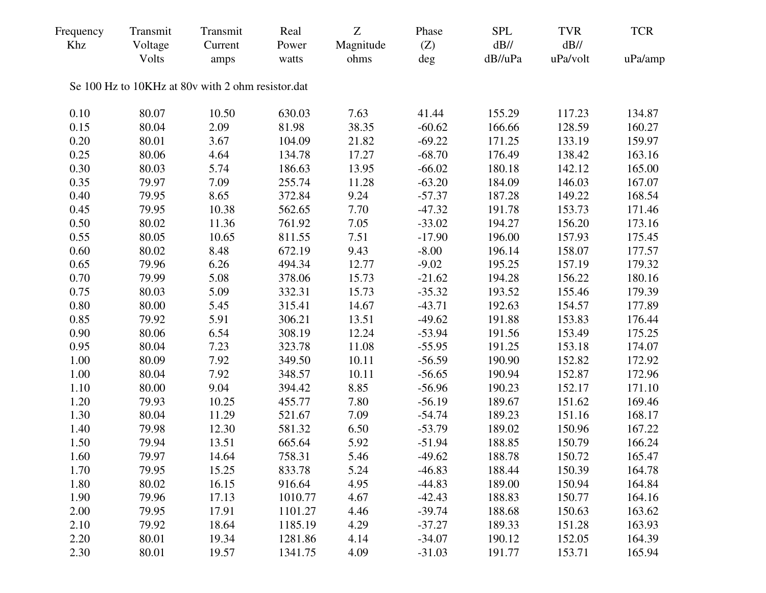| Frequency<br>Khz | Transmit<br>Voltage | Transmit<br>Current                               | Real<br>Power | Z<br>Magnitude | Phase<br>(Z) | <b>SPL</b><br>$dB$ // | <b>TVR</b><br>$dB$ // | <b>TCR</b> |
|------------------|---------------------|---------------------------------------------------|---------------|----------------|--------------|-----------------------|-----------------------|------------|
|                  | Volts               | amps                                              | watts         | ohms           | deg          | dB//uPa               | uPa/volt              | uPa/amp    |
|                  |                     | Se 100 Hz to 10KHz at 80v with 2 ohm resistor.dat |               |                |              |                       |                       |            |
| 0.10             | 80.07               | 10.50                                             | 630.03        | 7.63           | 41.44        | 155.29                | 117.23                | 134.87     |
| 0.15             | 80.04               | 2.09                                              | 81.98         | 38.35          | $-60.62$     | 166.66                | 128.59                | 160.27     |
| 0.20             | 80.01               | 3.67                                              | 104.09        | 21.82          | $-69.22$     | 171.25                | 133.19                | 159.97     |
| 0.25             | 80.06               | 4.64                                              | 134.78        | 17.27          | $-68.70$     | 176.49                | 138.42                | 163.16     |
| 0.30             | 80.03               | 5.74                                              | 186.63        | 13.95          | $-66.02$     | 180.18                | 142.12                | 165.00     |
| 0.35             | 79.97               | 7.09                                              | 255.74        | 11.28          | $-63.20$     | 184.09                | 146.03                | 167.07     |
| 0.40             | 79.95               | 8.65                                              | 372.84        | 9.24           | $-57.37$     | 187.28                | 149.22                | 168.54     |
| 0.45             | 79.95               | 10.38                                             | 562.65        | 7.70           | $-47.32$     | 191.78                | 153.73                | 171.46     |
| 0.50             | 80.02               | 11.36                                             | 761.92        | 7.05           | $-33.02$     | 194.27                | 156.20                | 173.16     |
| 0.55             | 80.05               | 10.65                                             | 811.55        | 7.51           | $-17.90$     | 196.00                | 157.93                | 175.45     |
| 0.60             | 80.02               | 8.48                                              | 672.19        | 9.43           | $-8.00$      | 196.14                | 158.07                | 177.57     |
| 0.65             | 79.96               | 6.26                                              | 494.34        | 12.77          | $-9.02$      | 195.25                | 157.19                | 179.32     |
| 0.70             | 79.99               | 5.08                                              | 378.06        | 15.73          | $-21.62$     | 194.28                | 156.22                | 180.16     |
| 0.75             | 80.03               | 5.09                                              | 332.31        | 15.73          | $-35.32$     | 193.52                | 155.46                | 179.39     |
| 0.80             | 80.00               | 5.45                                              | 315.41        | 14.67          | $-43.71$     | 192.63                | 154.57                | 177.89     |
| 0.85             | 79.92               | 5.91                                              | 306.21        | 13.51          | $-49.62$     | 191.88                | 153.83                | 176.44     |
| 0.90             | 80.06               | 6.54                                              | 308.19        | 12.24          | $-53.94$     | 191.56                | 153.49                | 175.25     |
| 0.95             | 80.04               | 7.23                                              | 323.78        | 11.08          | $-55.95$     | 191.25                | 153.18                | 174.07     |
| 1.00             | 80.09               | 7.92                                              | 349.50        | 10.11          | $-56.59$     | 190.90                | 152.82                | 172.92     |
| 1.00             | 80.04               | 7.92                                              | 348.57        | 10.11          | $-56.65$     | 190.94                | 152.87                | 172.96     |
| 1.10             | 80.00               | 9.04                                              | 394.42        | 8.85           | $-56.96$     | 190.23                | 152.17                | 171.10     |
| 1.20             | 79.93               | 10.25                                             | 455.77        | 7.80           | $-56.19$     | 189.67                | 151.62                | 169.46     |
| 1.30             | 80.04               | 11.29                                             | 521.67        | 7.09           | $-54.74$     | 189.23                | 151.16                | 168.17     |
| 1.40             | 79.98               | 12.30                                             | 581.32        | 6.50           | $-53.79$     | 189.02                | 150.96                | 167.22     |
| 1.50             | 79.94               | 13.51                                             | 665.64        | 5.92           | $-51.94$     | 188.85                | 150.79                | 166.24     |
| 1.60             | 79.97               | 14.64                                             | 758.31        | 5.46           | $-49.62$     | 188.78                | 150.72                | 165.47     |
| 1.70             | 79.95               | 15.25                                             | 833.78        | 5.24           | $-46.83$     | 188.44                | 150.39                | 164.78     |
| 1.80             | 80.02               | 16.15                                             | 916.64        | 4.95           | $-44.83$     | 189.00                | 150.94                | 164.84     |
| 1.90             | 79.96               | 17.13                                             | 1010.77       | 4.67           | $-42.43$     | 188.83                | 150.77                | 164.16     |
| 2.00             | 79.95               | 17.91                                             | 1101.27       | 4.46           | $-39.74$     | 188.68                | 150.63                | 163.62     |
| 2.10             | 79.92               | 18.64                                             | 1185.19       | 4.29           | $-37.27$     | 189.33                | 151.28                | 163.93     |
| 2.20             | 80.01               | 19.34                                             | 1281.86       | 4.14           | $-34.07$     | 190.12                | 152.05                | 164.39     |
| 2.30             | 80.01               | 19.57                                             | 1341.75       | 4.09           | $-31.03$     | 191.77                | 153.71                | 165.94     |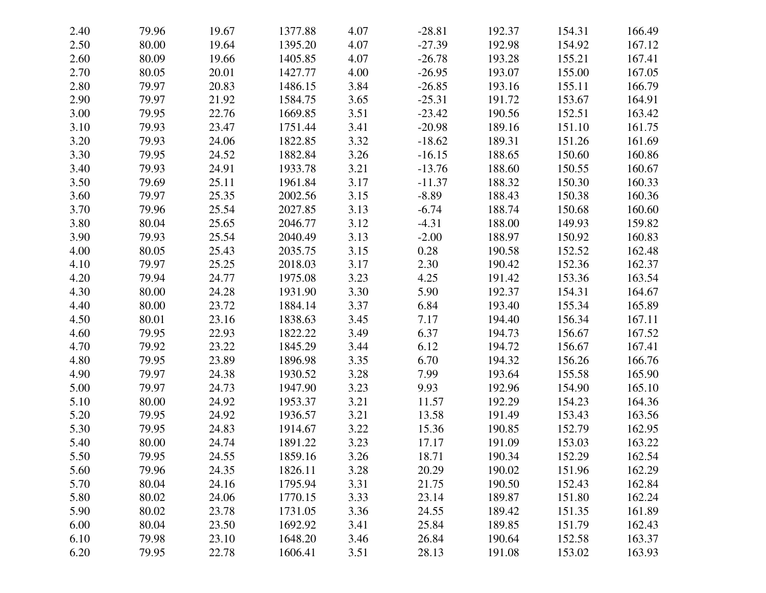| 2.40 | 79.96 | 19.67 | 1377.88 | 4.07 | $-28.81$ | 192.37 | 154.31 | 166.49 |
|------|-------|-------|---------|------|----------|--------|--------|--------|
| 2.50 | 80.00 | 19.64 | 1395.20 | 4.07 | $-27.39$ | 192.98 | 154.92 | 167.12 |
| 2.60 | 80.09 | 19.66 | 1405.85 | 4.07 | $-26.78$ | 193.28 | 155.21 | 167.41 |
| 2.70 | 80.05 | 20.01 | 1427.77 | 4.00 | $-26.95$ | 193.07 | 155.00 | 167.05 |
| 2.80 | 79.97 | 20.83 | 1486.15 | 3.84 | $-26.85$ | 193.16 | 155.11 | 166.79 |
| 2.90 | 79.97 | 21.92 | 1584.75 | 3.65 | $-25.31$ | 191.72 | 153.67 | 164.91 |
| 3.00 | 79.95 | 22.76 | 1669.85 | 3.51 | $-23.42$ | 190.56 | 152.51 | 163.42 |
| 3.10 | 79.93 | 23.47 | 1751.44 | 3.41 | $-20.98$ | 189.16 | 151.10 | 161.75 |
| 3.20 | 79.93 | 24.06 | 1822.85 | 3.32 | $-18.62$ | 189.31 | 151.26 | 161.69 |
| 3.30 | 79.95 | 24.52 | 1882.84 | 3.26 | $-16.15$ | 188.65 | 150.60 | 160.86 |
| 3.40 | 79.93 | 24.91 | 1933.78 | 3.21 | $-13.76$ | 188.60 | 150.55 | 160.67 |
| 3.50 | 79.69 | 25.11 | 1961.84 | 3.17 | $-11.37$ | 188.32 | 150.30 | 160.33 |
| 3.60 | 79.97 | 25.35 | 2002.56 | 3.15 | $-8.89$  | 188.43 | 150.38 | 160.36 |
| 3.70 | 79.96 | 25.54 | 2027.85 | 3.13 | $-6.74$  | 188.74 | 150.68 | 160.60 |
| 3.80 | 80.04 | 25.65 | 2046.77 | 3.12 | $-4.31$  | 188.00 | 149.93 | 159.82 |
| 3.90 | 79.93 | 25.54 | 2040.49 | 3.13 | $-2.00$  | 188.97 | 150.92 | 160.83 |
| 4.00 | 80.05 | 25.43 | 2035.75 | 3.15 | 0.28     | 190.58 | 152.52 | 162.48 |
| 4.10 | 79.97 | 25.25 | 2018.03 | 3.17 | 2.30     | 190.42 | 152.36 | 162.37 |
| 4.20 | 79.94 | 24.77 | 1975.08 | 3.23 | 4.25     | 191.42 | 153.36 | 163.54 |
| 4.30 | 80.00 | 24.28 | 1931.90 | 3.30 | 5.90     | 192.37 | 154.31 | 164.67 |
| 4.40 | 80.00 | 23.72 | 1884.14 | 3.37 | 6.84     | 193.40 | 155.34 | 165.89 |
| 4.50 | 80.01 | 23.16 | 1838.63 | 3.45 | 7.17     | 194.40 | 156.34 | 167.11 |
| 4.60 | 79.95 | 22.93 | 1822.22 | 3.49 | 6.37     | 194.73 | 156.67 | 167.52 |
| 4.70 | 79.92 | 23.22 | 1845.29 | 3.44 | 6.12     | 194.72 | 156.67 | 167.41 |
| 4.80 | 79.95 | 23.89 | 1896.98 | 3.35 | 6.70     | 194.32 | 156.26 | 166.76 |
| 4.90 | 79.97 | 24.38 | 1930.52 | 3.28 | 7.99     | 193.64 | 155.58 | 165.90 |
| 5.00 | 79.97 | 24.73 | 1947.90 | 3.23 | 9.93     | 192.96 | 154.90 | 165.10 |
| 5.10 | 80.00 | 24.92 | 1953.37 | 3.21 | 11.57    | 192.29 | 154.23 | 164.36 |
| 5.20 | 79.95 | 24.92 | 1936.57 | 3.21 | 13.58    | 191.49 | 153.43 | 163.56 |
| 5.30 | 79.95 | 24.83 | 1914.67 | 3.22 | 15.36    | 190.85 | 152.79 | 162.95 |
| 5.40 | 80.00 | 24.74 | 1891.22 | 3.23 | 17.17    | 191.09 | 153.03 | 163.22 |
| 5.50 | 79.95 | 24.55 | 1859.16 | 3.26 | 18.71    | 190.34 | 152.29 | 162.54 |
| 5.60 | 79.96 | 24.35 | 1826.11 | 3.28 | 20.29    | 190.02 | 151.96 | 162.29 |
| 5.70 | 80.04 | 24.16 | 1795.94 | 3.31 | 21.75    | 190.50 | 152.43 | 162.84 |
| 5.80 | 80.02 | 24.06 | 1770.15 | 3.33 | 23.14    | 189.87 | 151.80 | 162.24 |
| 5.90 | 80.02 | 23.78 | 1731.05 | 3.36 | 24.55    | 189.42 | 151.35 | 161.89 |
| 6.00 | 80.04 | 23.50 | 1692.92 | 3.41 | 25.84    | 189.85 | 151.79 | 162.43 |
| 6.10 | 79.98 | 23.10 | 1648.20 | 3.46 | 26.84    | 190.64 | 152.58 | 163.37 |
| 6.20 | 79.95 | 22.78 | 1606.41 | 3.51 | 28.13    | 191.08 | 153.02 | 163.93 |